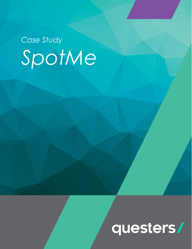# *Case Study SpotMe*

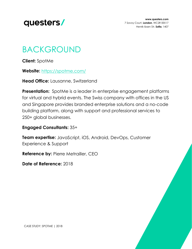

**www.questers.com** 7 Savoy Court, **London**, WC2R 0EX17 Henrik Ibsen Str. **Sofia**, 1407

#### BACKGROUND

**Client:** SpotMe

**Website:** <https://spotme.com/>

**Head Office:** Lausanne, Switzerland

**Presentation:** SpotMe is a leader in enterprise engagement platforms for virtual and hybrid events. The Swiss company with offices in the US and Singapore provides branded enterprise solutions and a no-code building platform, along with support and professional services to 250+ global businesses.

#### **Engaged Consultants:** 35+

**Team expertise:** JavaScript, iOS, Android, DevOps, Customer Experience & Support

**Reference by: Pierre Metrailler, CEO** 

**Date of Reference:** 2018

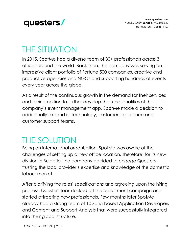

#### THE SITUATION

In 2015, SpotMe had a diverse team of 80+ professionals across 3 offices around the world. Back then, the company was serving an impressive client portfolio of Fortune 500 companies, creative and productive agencies and NGOs and supporting hundreds of events every year across the globe.

As a result of the continuous growth in the demand for their services and their ambition to further develop the functionalities of the company's event management app, SpotMe made a decision to additionally expand its technology, customer experience and customer support teams.

#### THE SOLUTION

Being an international organisation, SpotMe was aware of the challenges of setting up a new office location. Therefore, for its new division in Bulgaria, the company decided to engage Questers, trusting the local provider's expertise and knowledge of the domestic labour market.

After clarifying the roles' specifications and agreeing upon the hiring process, Questers team kicked off the recruitment campaign and started attracting new professionals. Few months later SpotMe already had a strong team of 10 Sofia-based Application Developers and Content and Support Analysts that were successfully integrated into their global structure.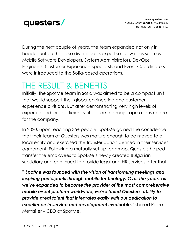

During the next couple of years, the team expanded not only in headcount but has also diversified its expertise. New roles such as Mobile Software Developers, System Administrators, DevOps Engineers, Customer Experience Specialists and Event Coordinators were introduced to the Sofia-based operations.

#### THE RESULT & BENEFITS

Initially, the SpotMe team in Sofia was aimed to be a compact unit that would support their global engineering and customer experience divisions. But after demonstrating very high levels of expertise and large efficiency, it became a major operations centre for the company.

In 2020, upon reaching 35+ people, SpotMe gained the confidence that their team at Questers was mature enough to be moved to a local entity and exercised the transfer option defined in their services agreement. Following a mutually set up roadmap, Questers helped transfer the employees to SpotMe's newly created Bulgarian subsidiary and continued to provide legal and HR services after that.

*" SpotMe was founded with the vision of transforming meetings and inspiring participants through mobile technology. Over the years, as we've expanded to become the provider of the most comprehensive mobile event platform worldwide, we've found Questers' ability to provide great talent that integrates easily with our dedication to excellence in service and development invaluable."* shared Pierre Metrailler – CEO at SpotMe.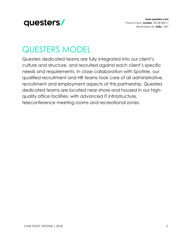

### QUESTERS MODEL

Questers dedicated teams are fully integrated into our client's culture and structure, and recruited against each client's specific needs and requirements. In close collaboration with SpotMe, our qualified recruitment and HR teams took care of all administrative, recruitment and employment aspects of this partnership. Questers dedicated teams are located near-shore and housed in our highquality office facilities, with advanced IT infrastructure, teleconference meeting rooms and recreational zones.